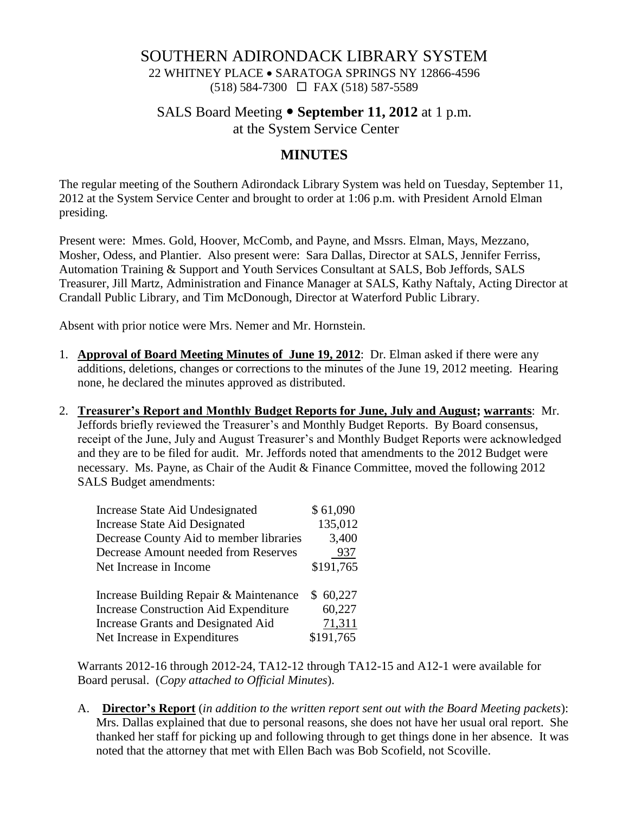# SOUTHERN ADIRONDACK LIBRARY SYSTEM

22 WHITNEY PLACE • SARATOGA SPRINGS NY 12866-4596 (518) 584-7300 FAX (518) 587-5589

## SALS Board Meeting **September 11, 2012** at 1 p.m. at the System Service Center

### **MINUTES**

The regular meeting of the Southern Adirondack Library System was held on Tuesday, September 11, 2012 at the System Service Center and brought to order at 1:06 p.m. with President Arnold Elman presiding.

Present were: Mmes. Gold, Hoover, McComb, and Payne, and Mssrs. Elman, Mays, Mezzano, Mosher, Odess, and Plantier. Also present were: Sara Dallas, Director at SALS, Jennifer Ferriss, Automation Training & Support and Youth Services Consultant at SALS, Bob Jeffords, SALS Treasurer, Jill Martz, Administration and Finance Manager at SALS, Kathy Naftaly, Acting Director at Crandall Public Library, and Tim McDonough, Director at Waterford Public Library.

Absent with prior notice were Mrs. Nemer and Mr. Hornstein.

- 1. **Approval of Board Meeting Minutes of June 19, 2012**: Dr. Elman asked if there were any additions, deletions, changes or corrections to the minutes of the June 19, 2012 meeting. Hearing none, he declared the minutes approved as distributed.
- 2. **Treasurer's Report and Monthly Budget Reports for June, July and August; warrants**: Mr. Jeffords briefly reviewed the Treasurer's and Monthly Budget Reports. By Board consensus, receipt of the June, July and August Treasurer's and Monthly Budget Reports were acknowledged and they are to be filed for audit. Mr. Jeffords noted that amendments to the 2012 Budget were necessary. Ms. Payne, as Chair of the Audit & Finance Committee, moved the following 2012 SALS Budget amendments:

| Increase State Aid Undesignated              | \$61,090  |
|----------------------------------------------|-----------|
| <b>Increase State Aid Designated</b>         | 135,012   |
| Decrease County Aid to member libraries      | 3,400     |
| Decrease Amount needed from Reserves         | 937       |
| Net Increase in Income                       | \$191,765 |
| Increase Building Repair & Maintenance       | \$60,227  |
| <b>Increase Construction Aid Expenditure</b> | 60,227    |
| Increase Grants and Designated Aid           | 71,311    |
| Net Increase in Expenditures                 | \$191,765 |

Warrants 2012-16 through 2012-24, TA12-12 through TA12-15 and A12-1 were available for Board perusal. (*Copy attached to Official Minutes*).

A. **Director's Report** (*in addition to the written report sent out with the Board Meeting packets*): Mrs. Dallas explained that due to personal reasons, she does not have her usual oral report. She thanked her staff for picking up and following through to get things done in her absence. It was noted that the attorney that met with Ellen Bach was Bob Scofield, not Scoville.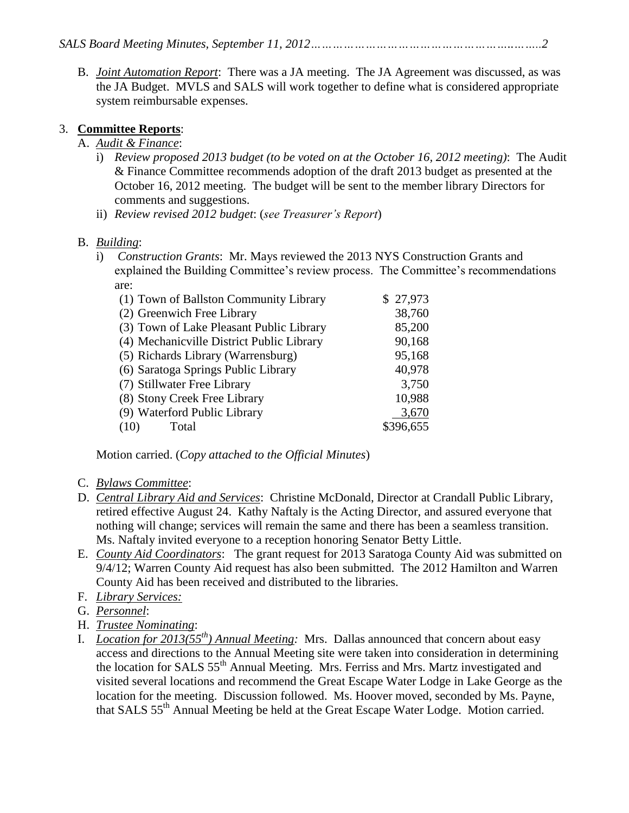B. *Joint Automation Report*: There was a JA meeting. The JA Agreement was discussed, as was the JA Budget. MVLS and SALS will work together to define what is considered appropriate system reimbursable expenses.

#### 3. **Committee Reports**:

#### A. *Audit & Finance*:

- i) *Review proposed 2013 budget (to be voted on at the October 16, 2012 meeting)*: The Audit & Finance Committee recommends adoption of the draft 2013 budget as presented at the October 16, 2012 meeting. The budget will be sent to the member library Directors for comments and suggestions.
- ii) *Review revised 2012 budget*: (*see Treasurer's Report*)

#### B. *Building*:

i) *Construction Grants*: Mr. Mays reviewed the 2013 NYS Construction Grants and explained the Building Committee's review process. The Committee's recommendations are:

| \$27,973  |
|-----------|
| 38,760    |
| 85,200    |
| 90,168    |
| 95,168    |
| 40,978    |
| 3,750     |
| 10,988    |
| 3,670     |
| \$396,655 |
|           |

Motion carried. (*Copy attached to the Official Minutes*)

- C. *Bylaws Committee*:
- D. *Central Library Aid and Services*: Christine McDonald, Director at Crandall Public Library, retired effective August 24. Kathy Naftaly is the Acting Director, and assured everyone that nothing will change; services will remain the same and there has been a seamless transition. Ms. Naftaly invited everyone to a reception honoring Senator Betty Little.
- E. *County Aid Coordinators*: The grant request for 2013 Saratoga County Aid was submitted on 9/4/12; Warren County Aid request has also been submitted. The 2012 Hamilton and Warren County Aid has been received and distributed to the libraries.
- F. *Library Services:*
- G. *Personnel*:
- H. *Trustee Nominating*:
- I. *Location for 2013(55th) Annual Meeting:* Mrs. Dallas announced that concern about easy access and directions to the Annual Meeting site were taken into consideration in determining the location for SALS 55<sup>th</sup> Annual Meeting. Mrs. Ferriss and Mrs. Martz investigated and visited several locations and recommend the Great Escape Water Lodge in Lake George as the location for the meeting. Discussion followed. Ms. Hoover moved, seconded by Ms. Payne, that SALS 55<sup>th</sup> Annual Meeting be held at the Great Escape Water Lodge. Motion carried.